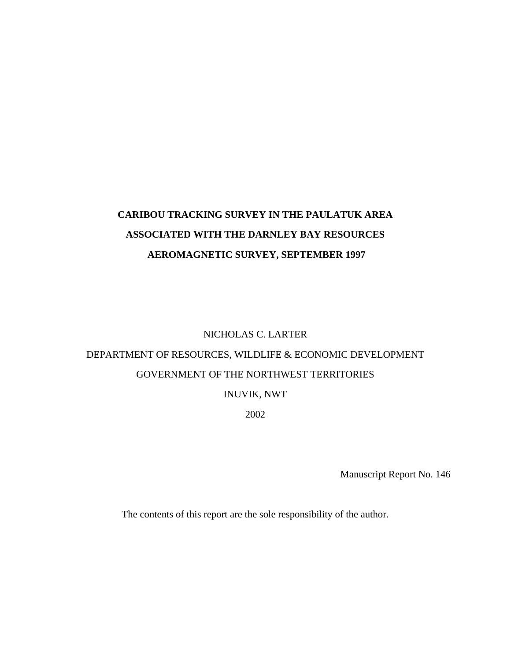## **CARIBOU TRACKING SURVEY IN THE PAULATUK AREA ASSOCIATED WITH THE DARNLEY BAY RESOURCES AEROMAGNETIC SURVEY, SEPTEMBER 1997**

## NICHOLAS C. LARTER

# DEPARTMENT OF RESOURCES, WILDLIFE & ECONOMIC DEVELOPMENT GOVERNMENT OF THE NORTHWEST TERRITORIES

## INUVIK, NWT

2002

Manuscript Report No. 146

The contents of this report are the sole responsibility of the author.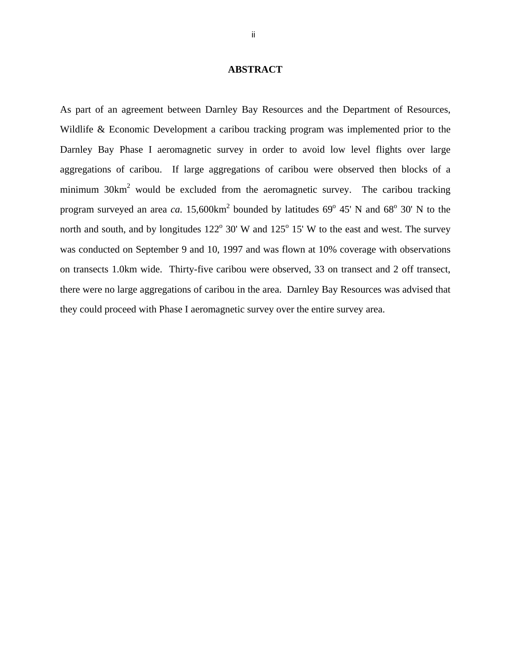#### **ABSTRACT**

<span id="page-1-0"></span>As part of an agreement between Darnley Bay Resources and the Department of Resources, Wildlife & Economic Development a caribou tracking program was implemented prior to the Darnley Bay Phase I aeromagnetic survey in order to avoid low level flights over large aggregations of caribou. If large aggregations of caribou were observed then blocks of a minimum  $30 \text{km}^2$  would be excluded from the aeromagnetic survey. The caribou tracking program surveyed an area *ca*.  $15,600 \text{km}^2$  bounded by latitudes  $69^{\circ}$  45' N and  $68^{\circ}$  30' N to the north and south, and by longitudes  $122^{\circ}$  30' W and  $125^{\circ}$  15' W to the east and west. The survey was conducted on September 9 and 10, 1997 and was flown at 10% coverage with observations on transects 1.0km wide. Thirty-five caribou were observed, 33 on transect and 2 off transect, there were no large aggregations of caribou in the area. Darnley Bay Resources was advised that they could proceed with Phase I aeromagnetic survey over the entire survey area.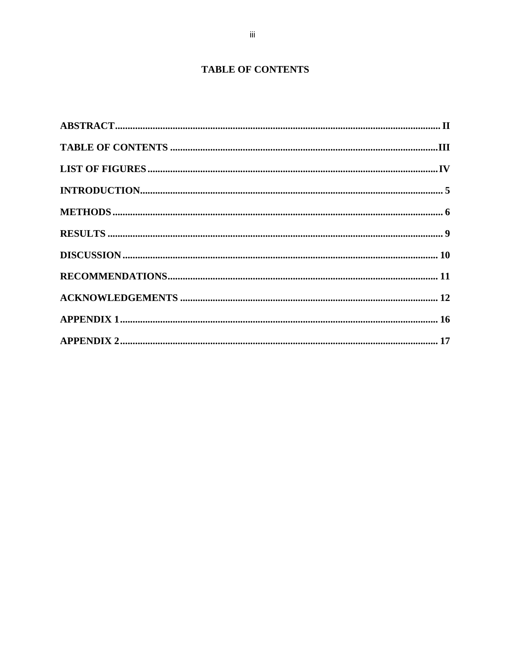## **TABLE OF CONTENTS**

<span id="page-2-0"></span>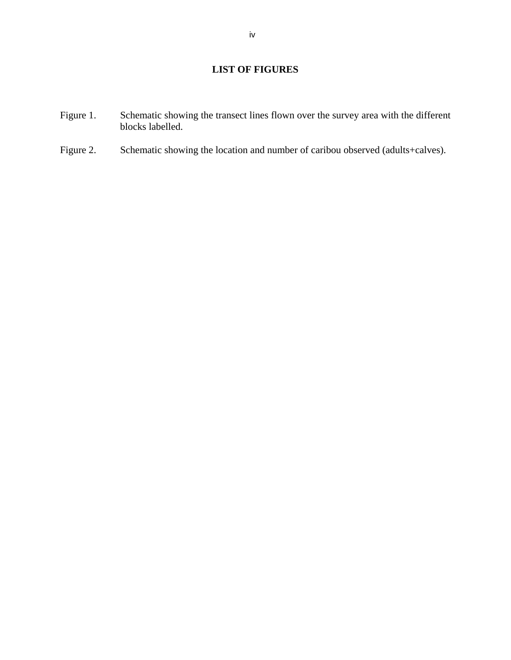## **LIST OF FIGURES**

- <span id="page-3-0"></span>Figure 1. Schematic showing the transect lines flown over the survey area with the different blocks labelled.
- Figure 2. Schematic showing the location and number of caribou observed (adults+calves).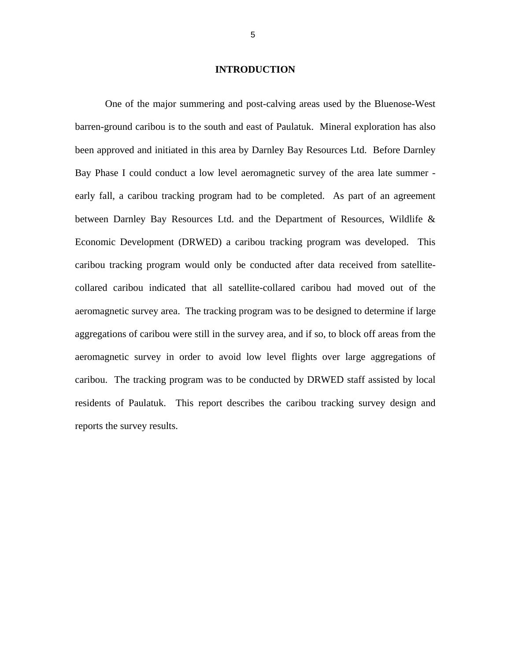#### **INTRODUCTION**

<span id="page-4-0"></span> One of the major summering and post-calving areas used by the Bluenose-West barren-ground caribou is to the south and east of Paulatuk. Mineral exploration has also been approved and initiated in this area by Darnley Bay Resources Ltd. Before Darnley Bay Phase I could conduct a low level aeromagnetic survey of the area late summer early fall, a caribou tracking program had to be completed. As part of an agreement between Darnley Bay Resources Ltd. and the Department of Resources, Wildlife & Economic Development (DRWED) a caribou tracking program was developed. This caribou tracking program would only be conducted after data received from satellitecollared caribou indicated that all satellite-collared caribou had moved out of the aeromagnetic survey area. The tracking program was to be designed to determine if large aggregations of caribou were still in the survey area, and if so, to block off areas from the aeromagnetic survey in order to avoid low level flights over large aggregations of caribou. The tracking program was to be conducted by DRWED staff assisted by local residents of Paulatuk. This report describes the caribou tracking survey design and reports the survey results.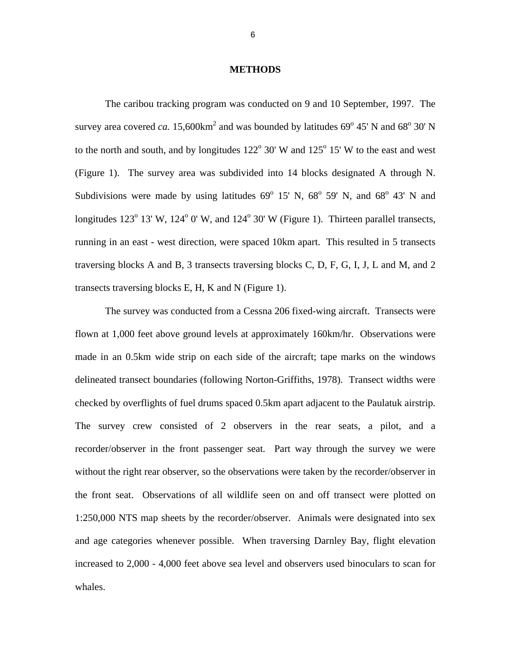#### **METHODS**

<span id="page-5-0"></span>The caribou tracking program was conducted on 9 and 10 September, 1997. The survey area covered *ca*.  $15,600 \text{km}^2$  and was bounded by latitudes  $69^{\circ}$  45' N and  $68^{\circ}$  30' N to the north and south, and by longitudes  $122^{\circ}$  30' W and  $125^{\circ}$  15' W to the east and west (Figure 1). The survey area was subdivided into 14 blocks designated A through N. Subdivisions were made by using latitudes  $69^{\circ}$  15' N,  $68^{\circ}$  59' N, and  $68^{\circ}$  43' N and longitudes  $123^{\circ}$  13' W,  $124^{\circ}$  0' W, and  $124^{\circ}$  30' W (Figure 1). Thirteen parallel transects, running in an east - west direction, were spaced 10km apart. This resulted in 5 transects traversing blocks A and B, 3 transects traversing blocks C, D, F, G, I, J, L and M, and 2 transects traversing blocks E, H, K and N (Figure 1).

 The survey was conducted from a Cessna 206 fixed-wing aircraft. Transects were flown at 1,000 feet above ground levels at approximately 160km/hr. Observations were made in an 0.5km wide strip on each side of the aircraft; tape marks on the windows delineated transect boundaries (following Norton-Griffiths, 1978). Transect widths were checked by overflights of fuel drums spaced 0.5km apart adjacent to the Paulatuk airstrip. The survey crew consisted of 2 observers in the rear seats, a pilot, and a recorder/observer in the front passenger seat. Part way through the survey we were without the right rear observer, so the observations were taken by the recorder/observer in the front seat. Observations of all wildlife seen on and off transect were plotted on 1:250,000 NTS map sheets by the recorder/observer. Animals were designated into sex and age categories whenever possible. When traversing Darnley Bay, flight elevation increased to 2,000 - 4,000 feet above sea level and observers used binoculars to scan for whales.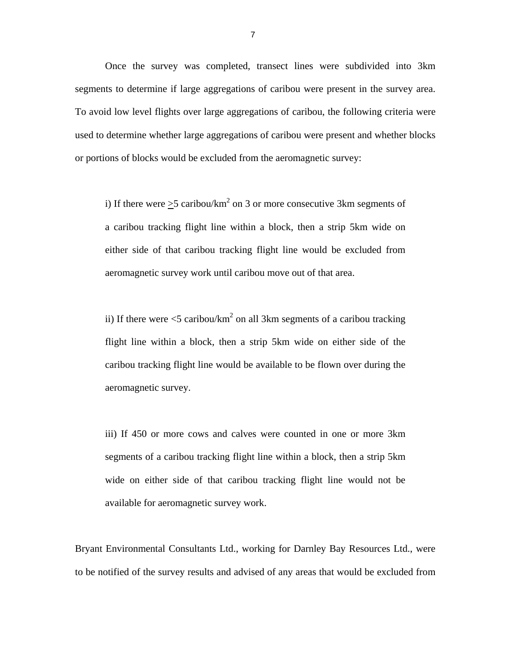Once the survey was completed, transect lines were subdivided into 3km segments to determine if large aggregations of caribou were present in the survey area. To avoid low level flights over large aggregations of caribou, the following criteria were used to determine whether large aggregations of caribou were present and whether blocks or portions of blocks would be excluded from the aeromagnetic survey:

i) If there were  $\geq$ 5 caribou/km<sup>2</sup> on 3 or more consecutive 3km segments of a caribou tracking flight line within a block, then a strip 5km wide on either side of that caribou tracking flight line would be excluded from aeromagnetic survey work until caribou move out of that area.

ii) If there were  $\lt 5$  caribou/km<sup>2</sup> on all 3km segments of a caribou tracking flight line within a block, then a strip 5km wide on either side of the caribou tracking flight line would be available to be flown over during the aeromagnetic survey.

iii) If 450 or more cows and calves were counted in one or more 3km segments of a caribou tracking flight line within a block, then a strip 5km wide on either side of that caribou tracking flight line would not be available for aeromagnetic survey work.

Bryant Environmental Consultants Ltd., working for Darnley Bay Resources Ltd., were to be notified of the survey results and advised of any areas that would be excluded from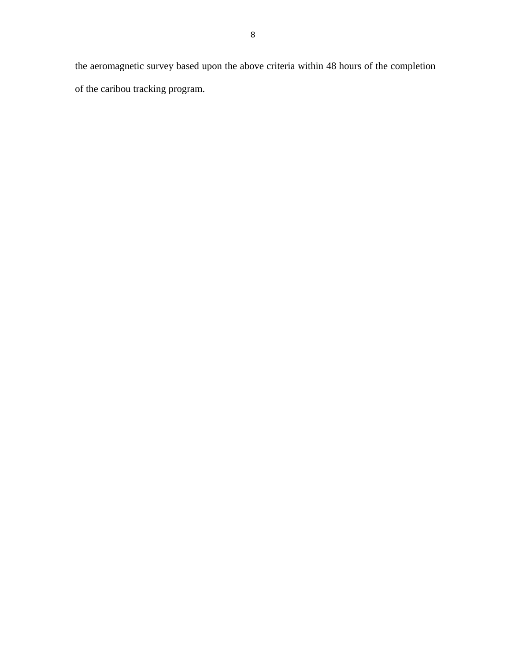the aeromagnetic survey based upon the above criteria within 48 hours of the completion of the caribou tracking program.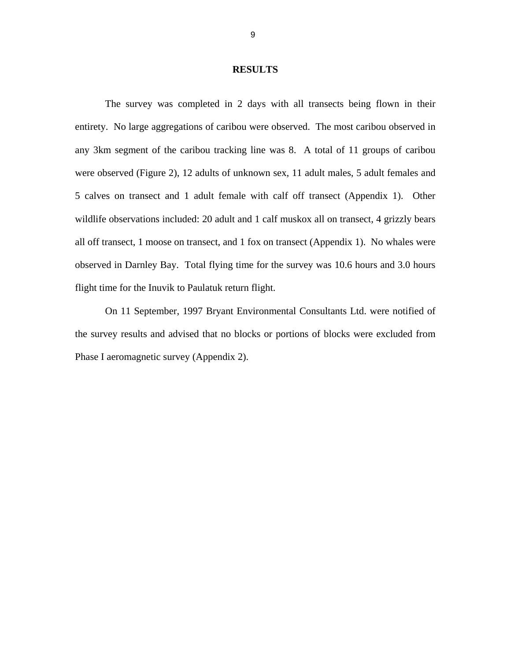#### **RESULTS**

<span id="page-8-0"></span> The survey was completed in 2 days with all transects being flown in their entirety. No large aggregations of caribou were observed. The most caribou observed in any 3km segment of the caribou tracking line was 8. A total of 11 groups of caribou were observed (Figure 2), 12 adults of unknown sex, 11 adult males, 5 adult females and 5 calves on transect and 1 adult female with calf off transect (Appendix 1). Other wildlife observations included: 20 adult and 1 calf muskox all on transect, 4 grizzly bears all off transect, 1 moose on transect, and 1 fox on transect (Appendix 1). No whales were observed in Darnley Bay. Total flying time for the survey was 10.6 hours and 3.0 hours flight time for the Inuvik to Paulatuk return flight.

 On 11 September, 1997 Bryant Environmental Consultants Ltd. were notified of the survey results and advised that no blocks or portions of blocks were excluded from Phase I aeromagnetic survey (Appendix 2).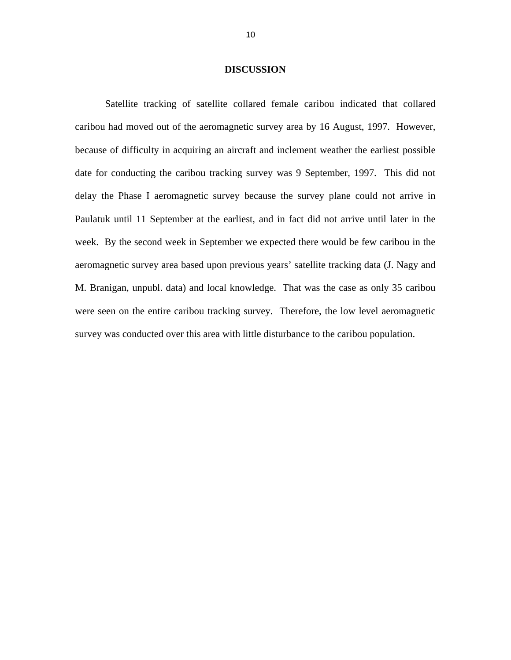#### **DISCUSSION**

<span id="page-9-0"></span> Satellite tracking of satellite collared female caribou indicated that collared caribou had moved out of the aeromagnetic survey area by 16 August, 1997. However, because of difficulty in acquiring an aircraft and inclement weather the earliest possible date for conducting the caribou tracking survey was 9 September, 1997. This did not delay the Phase I aeromagnetic survey because the survey plane could not arrive in Paulatuk until 11 September at the earliest, and in fact did not arrive until later in the week. By the second week in September we expected there would be few caribou in the aeromagnetic survey area based upon previous years' satellite tracking data (J. Nagy and M. Branigan, unpubl. data) and local knowledge. That was the case as only 35 caribou were seen on the entire caribou tracking survey. Therefore, the low level aeromagnetic survey was conducted over this area with little disturbance to the caribou population.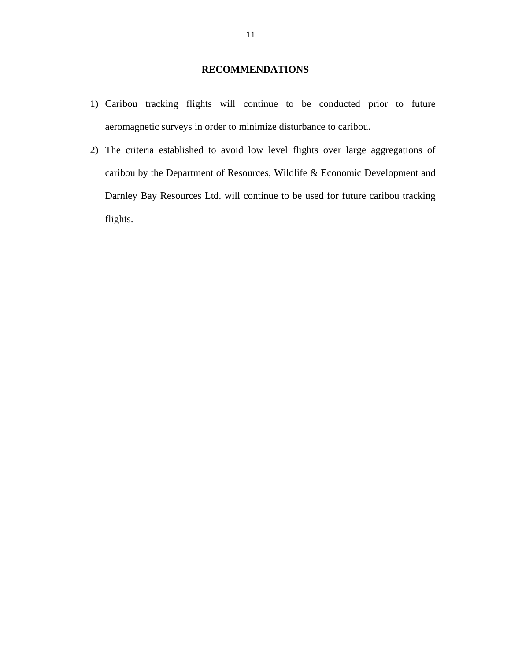## **RECOMMENDATIONS**

- <span id="page-10-0"></span>1) Caribou tracking flights will continue to be conducted prior to future aeromagnetic surveys in order to minimize disturbance to caribou.
- 2) The criteria established to avoid low level flights over large aggregations of caribou by the Department of Resources, Wildlife & Economic Development and Darnley Bay Resources Ltd. will continue to be used for future caribou tracking flights.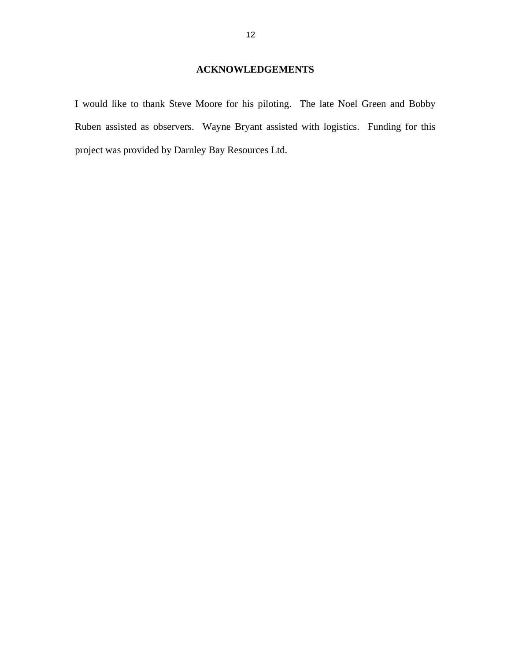<span id="page-11-0"></span>I would like to thank Steve Moore for his piloting. The late Noel Green and Bobby Ruben assisted as observers. Wayne Bryant assisted with logistics. Funding for this project was provided by Darnley Bay Resources Ltd.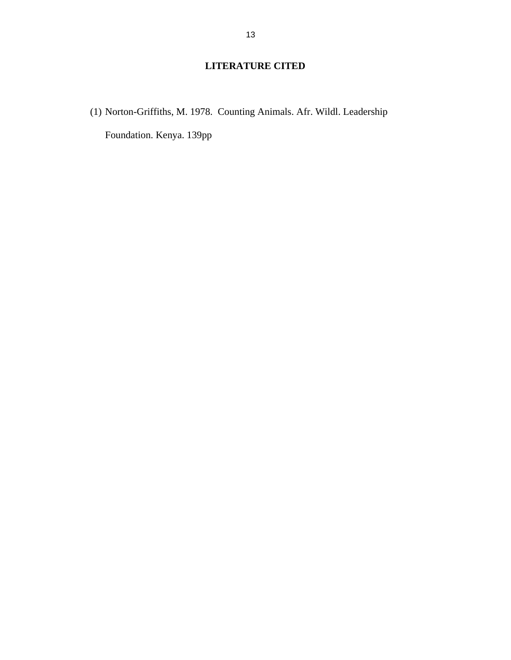## **LITERATURE CITED**

(1) Norton-Griffiths, M. 1978. Counting Animals. Afr. Wildl. Leadership Foundation. Kenya. 139pp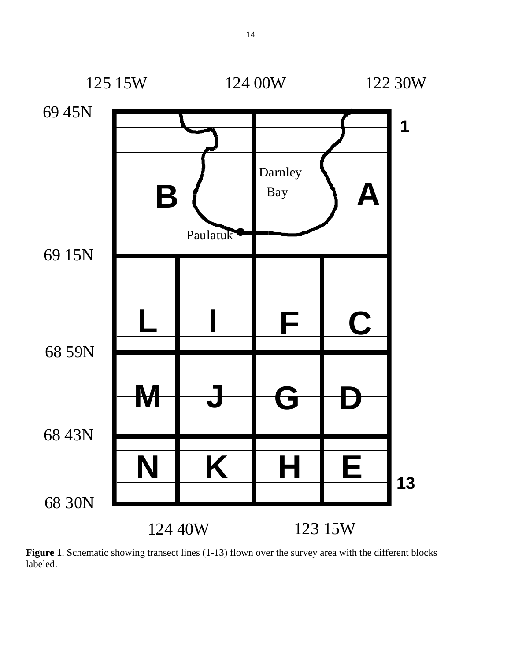

Figure 1. Schematic showing transect lines (1-13) flown over the survey area with the different blocks labeled.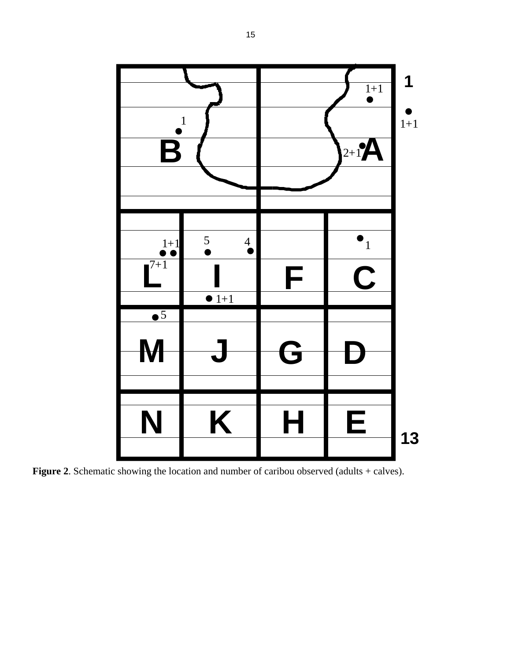

**Figure 2.** Schematic showing the location and number of caribou observed (adults + calves).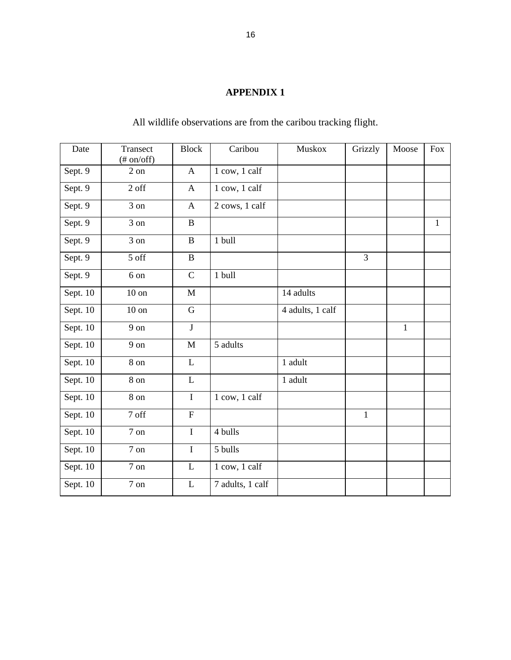## **APPENDIX 1**

<span id="page-15-0"></span>

| Date       | Transect<br>$(\# on/off)$ | <b>Block</b>              | Caribou          | <b>Muskox</b>    | Grizzly        | Moose        | <b>Fox</b>   |
|------------|---------------------------|---------------------------|------------------|------------------|----------------|--------------|--------------|
| Sept. 9    | 2 on                      | $\mathbf{A}$              | 1 cow, 1 calf    |                  |                |              |              |
| Sept. 9    | 2 off                     | $\mathbf{A}$              | 1 cow, 1 calf    |                  |                |              |              |
| Sept. 9    | 3 on                      | $\mathbf{A}$              | 2 cows, 1 calf   |                  |                |              |              |
| Sept. 9    | $3$ on                    | $\bf{B}$                  |                  |                  |                |              | $\mathbf{1}$ |
| Sept. 9    | 3 on                      | $\, {\bf B}$              | 1 bull           |                  |                |              |              |
| Sept. 9    | 5 off                     | $\, {\bf B}$              |                  |                  | $\overline{3}$ |              |              |
| Sept. 9    | 6 on                      | $\mathbf C$               | 1 bull           |                  |                |              |              |
| Sept. 10   | $10$ on                   | M                         |                  | 14 adults        |                |              |              |
| Sept. 10   | $10$ on                   | $\overline{G}$            |                  | 4 adults, 1 calf |                |              |              |
| Sept. 10   | $9 \text{ on}$            | $\mathbf{J}$              |                  |                  |                | $\mathbf{1}$ |              |
| Sept. 10   | 9 on                      | $\mathbf{M}$              | 5 adults         |                  |                |              |              |
| Sept. $10$ | 8 on                      | $\mathbf{L}$              |                  | 1 adult          |                |              |              |
| Sept. 10   | $8 \ \mathrm{on}$         | $\mathbf{L}$              |                  | 1 adult          |                |              |              |
| Sept. 10   | 8 on                      | $\bf I$                   | 1 cow, 1 calf    |                  |                |              |              |
| Sept. 10   | 7 off                     | $\boldsymbol{\mathrm{F}}$ |                  |                  | $\mathbf{1}$   |              |              |
| Sept. 10   | $7\ \mathrm{on}$          | $\mathbf I$               | 4 bulls          |                  |                |              |              |
| Sept. 10   | $7 \text{ on}$            | $\bf I$                   | 5 bulls          |                  |                |              |              |
| Sept. 10   | 7 on                      | $\mathbf L$               | 1 cow, 1 calf    |                  |                |              |              |
| Sept. 10   | $7\ \mathrm{on}$          | L                         | 7 adults, 1 calf |                  |                |              |              |

All wildlife observations are from the caribou tracking flight.